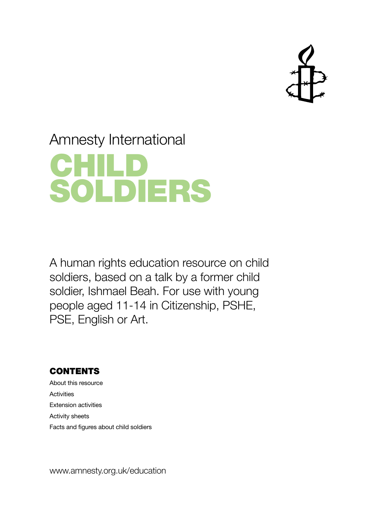

# Amnesty International



A human rights education resource on child soldiers, based on a talk by a former child soldier, Ishmael Beah. For use with young people aged 11-14 in Citizenship, PSHE, PSE, English or Art.

## CONTENTS

About this resource **Activities** Extension activities Activity sheets Facts and figures about child soldiers

www.amnesty.org.uk/education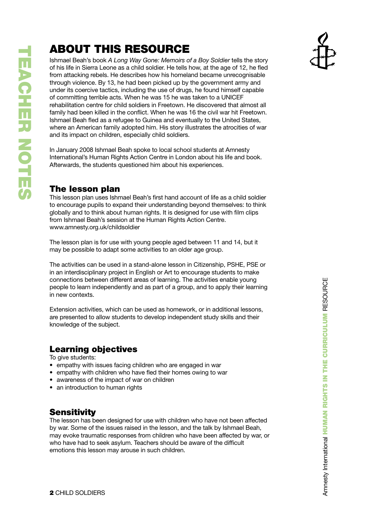# ABOUT THIS RESOUR

Ishmael Beah's book *A Long Way Gone: Memoirs of a Boy Soldier* tells the story of his life in Sierra Leone as a child soldier. He tells how, at the age of 12, he fled from attacking rebels. He describes how his homeland became unrecognisable through violence. By 13, he had been picked up by the government army and under its coercive tactics, including the use of drugs, he found himself capable of committing terrible acts. When he was 15 he was taken to a UNI CEF rehabilitation centre for child soldiers in Freetown. He discovered that almost all family had been killed in the conflict. When he was 16 the civil war hit Freetown. Ishmael Beah fled as a refugee to Guinea and eventually to the United States, where an American family adopted him. His story illustrates the atrocities of war and its impact on children, especially child soldiers.

In January 2008 Ishmael Beah spoke to local school students at Amnesty International's Human Rights Action Centre in London about his life and book. Afterwards, the students questioned him about his experiences.

## The lesson plan

This lesson plan uses Ishmael Beah's first hand account of life as a child soldier to encourage pupils to expand their understanding beyond themselves: to think globally and to think about human rights. It is designed for use with film clips from Ishmael Beah's session at the Human Rights Action Centre. www.amnesty.org.uk/childsoldier

The lesson plan is for use with young people aged between 11 and 14, but it may be possible to adapt some activities to an older age group.

The activities can be used in a stand-alone lesson in Citizenship, P SHE, P SE or in an interdisciplinary project in English or Art to encourage students to make connections between different areas of learning. The activities enable young people to learn independently and as part of a group, and to apply their learning in new contexts.

Extension activities, which can be used as homework, or in additional lessons, are presented to allow students to develop independent study skills and their knowledge of the subject.

## Learning objectives

To give students:

- empathy with issues facing children who are engaged in war
- empathy with children who have fled their homes owing to war
- awareness of the impact of war on children
- an introduction to human rights

## **Sensitivity**

The lesson has been designed for use with children who have not been affected by war. Some of the issues raised in the lesson, and the talk by Ishmael Beah, may evoke traumatic responses from children who have been affected by war, or who have had to seek asylum. Teachers should be aware of the difficult emotions this lesson may arouse in such children.

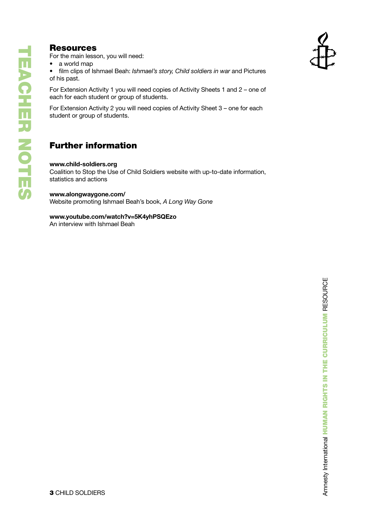## **Resources**

For the main lesson, you will need:

• a world map

• film clips of Ishmael Beah: *Ishmael's story, Child soldiers in war* and Pictures of his past.

For Extension Activity 1 you will need copies of Activity Sheets 1 and 2 – one of each for each student or group of students.

For Extension Activity 2 you will need copies of Activity Sheet 3 – one for each student or group of students.

## Further information

#### **www.child-soldiers.org**

Coalition to Stop the Use of Child Soldiers website with up-to-date information, statistics and actions

#### **www.alongwaygone.com/**

Website promoting Ishmael Beah's book, *A Long Way Gone*

#### **www.youtube.com/watch?v=5K4yhPSQEzo**

An interview with Ishmael Beah

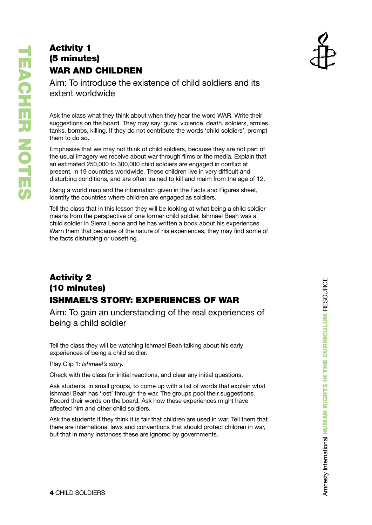# Activity 1 (5 minutes) WAR AND CHILDREN



Aim: To introduce the existence of child soldiers and its extent worldwide

Ask the class what they think about when they hear the word WAR. Write their suggestions on the board. They may say: guns, violence, death, soldiers, armies, tanks, bombs, killing. If they do not contribute the words 'child soldiers', prompt them to do so.

Emphasise that we may not think of child soldiers, because they are not part of the usual imagery we receive about war through films or the media. Explain that an estimated 250,000 to 300,000 child soldiers are engaged in conflict at present, in 19 countries worldwide. These children live in very difficult and disturbing conditions, and are often trained to kill and maim from the age of 12.

Using a world map and the information given in the Facts and Figures sheet, identify the countries where children are engaged as soldiers.

Tell the class that in this lesson they will be looking at what being a child soldier means from the perspective of one former child soldier. Ishmael Beah was a child soldier in Sierra Leone and he has written a book about his experiences. Warn them that because of the nature of his experiences, they may find some of the facts disturbing or upsetting .

## Activity 2 (10 minutes) ISHMAEL'S STORY: EXPERIENCES OF WA R

Aim: To gain an understanding of the real experiences of being a child soldier

Tell the class they will be watching Ishmael Beah talking about his early experiences of being a child soldier.

Play Clip 1: *Ishmael's story.*

Check with the class for initial reactions, and clear any initial questions.

Ask students, in small groups, to come up with a list of words that explain what Ishmael Beah has 'lost' through the war. The groups pool their suggestions. Record their words on the board. Ask how these experiences might have affected him and other child soldiers.

Ask the students if they think it is fair that children are used in war. Tell them that there are international laws and conventions that should protect children in war, but that in many instances these are ignored by governments.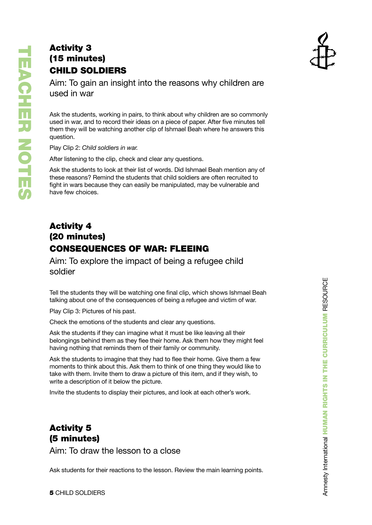## Activity 3 (15 minutes) CHILD SOLDIERS



Aim: To gain an insight into the reasons why children are used in war

Ask the students, working in pairs, to think about why children are so commonly used in war, and to record their ideas on a piece of paper. After five minutes tell them they will be watching another clip of Ishmael Beah where he answers this question.

Play Clip 2: *Child soldiers in war.*

After listening to the clip, check and clear any questions.

Ask the students to look at their list of words. Did Ishmael Beah mention any of these reasons? Remind the students that child soldiers are often recruited to fight in wars because they can easily be manipulated, may be vulnerable and have few choices.

## Activity 4 (20 minutes) CONSEQ UENCES OF WAR: FLEEIN G

Aim: To explore the impact of being a refugee child soldier

Tell the students they will be watching one final clip, which shows Ishmael Beah talking about one of the consequences of being a refugee and victim of war.

Play Clip 3: Pictures of his past.

Check the emotions of the students and clear any questions.

Ask the students if they can imagine what it must be like leaving all their belongings behind them as they flee their home. Ask them how they might feel having nothing that reminds them of their family or community.

Ask the students to imagine that they had to flee their home. Give them a few moments to think about this. Ask them to think of one thing they would like to take with them. Invite them to draw a picture of this item, and if they wish, to write a description of it below the picture.

Invite the students to display their pictures, and look at each other's work.

## Activity 5 (5 minutes)

Aim: To draw the lesson to a close

Ask students for their reactions to the lesson. Review the main learning points.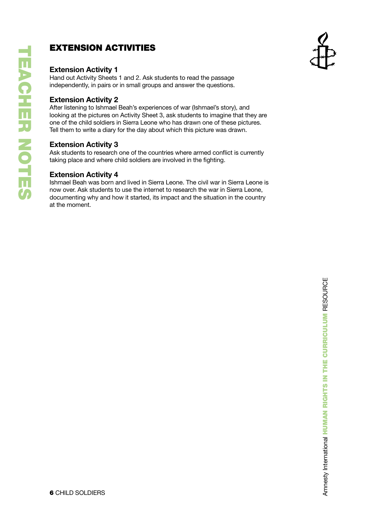## EXTENSION ACTIVITIES

### **Extension Activity 1**

Hand out Activity Sheets 1 and 2. Ask students to read the passage independently, in pairs or in small groups and answer the questions.

### **Extension Activity 2**

After listening to Ishmael Beah's experiences of war (Ishmael's story), and looking at the pictures on Activity Sheet 3, ask students to imagine that they are one of the child soldiers in Sierra Leone who has drawn one of these pictures. Tell them to write a diary for the day about which this picture was drawn.

### **Extension Activity 3**

Ask students to research one of the countries where armed conflict is currently taking place and where child soldiers are involved in the fighting.

### **Extension Activity 4**

Ishmael Beah was born and lived in Sierra Leone. The civil war in Sierra Leone is now over. Ask students to use the internet to research the war in Sierra Leone, documenting why and how it started, its impact and the situation in the country at the moment.

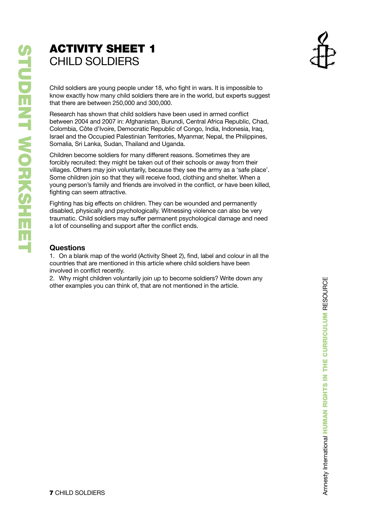# **ACTIVITY SHEET 1** CHILD SOLDIERS



Child soldiers are young people under 18, who fight in wars. It is impossible to know exactly how many child soldiers there are in the world, but experts suggest that there are between 250,000 and 300,000.

Research has shown that child soldiers have been used in armed conflict between 2004 and 2007 in: Afghanistan, Burundi, Central Africa Republic, Chad, Colombia, Côte d'Ivoire, Democratic Republic of Congo, India, Indonesia, Iraq, Israel and the Occupied Palestinian Territories, Myanmar, Nepal, the Philippines, Somalia, Sri Lanka, Sudan, Thailand and Uganda.

Children become soldiers for many different reasons. Sometimes they are forcibly recruited: they might be taken out of their schools or away from their villages. Others may join voluntarily, because they see the army as a 'safe place'. Some children join so that they will receive food, clothing and shelter. When a young person's family and friends are involved in the conflict, or have been killed, fighting can seem attractive.

Fighting has big effects on children. They can be wounded and permanently disabled, physically and psychologically. Witnessing violence can also be very traumatic. Child soldiers may suffer permanent psychological damage and need a lot of counselling and support after the conflict ends.

### **Questions**

1. On a blank map of the world (Activity Sheet 2), find, label and colour in all the countries that are mentioned in this article where child soldiers have been involved in conflict recently.

2. Why might children voluntarily join up to become soldiers? Write down any other examples you can think of, that are not mentioned in the article.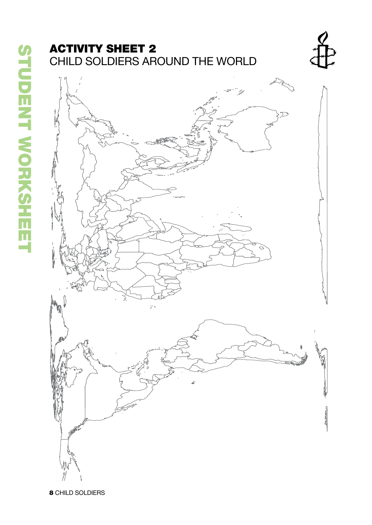# **ACTIVITY SHEET 2** CHILD SOLDIERS AROUND THE WORLD





**8** CHILD SOLDIERS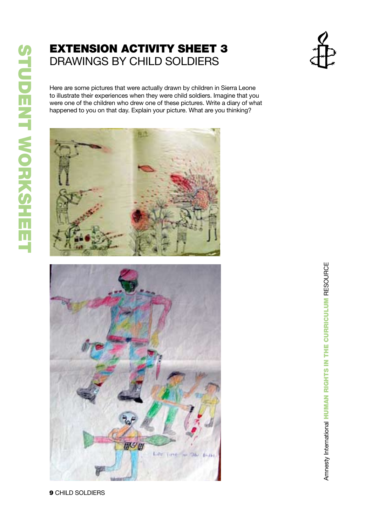# Extension Activity Sheet 3 DRAWING S BY CHILD SOLDIER S



Here are some pictures that were actually drawn by children in Sierra Leone to illustrate their experiences when they were child soldiers. Imagine that you were one of the children who drew one of these pictures. Write a diary of what happened to you on that day. Explain your picture. What are you thinking?



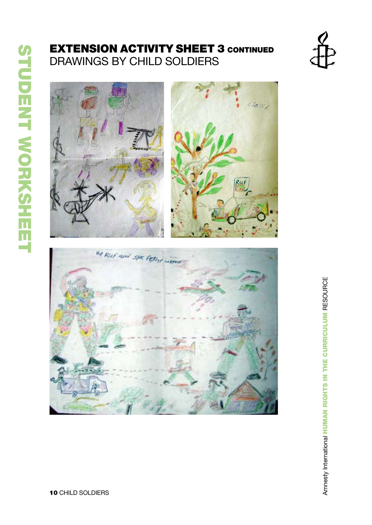# **EXTENSION ACTIVITY SHEET 3 CONTINUED** DRAWING S BY CHILD SOLDIER S





Amnesty International HUMAN RIGHTS IN THE CURRICULUM RESOURCE Amnesty International Human Rights in the Curriculum Resource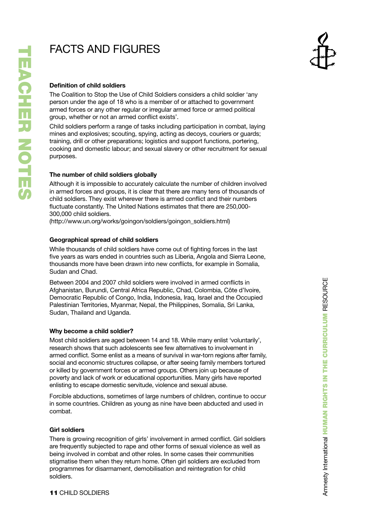# **URES**

#### **Definition of child soldiers**

The Coalition to Stop the Use of Child Soldiers considers a child soldier 'any person under the age of 18 who is a member of or attached to government armed forces or any other regular or irregular armed force or armed political group, whether or not an armed conflict exists'.

Child soldiers perform a range of tasks including participation in combat, laying mines and explosives; scouting, spying, acting as decoys, couriers or guards; training, drill or other preparations; logistics and support functions, portering, cooking and domestic labour; and sexual slavery or other recruitment for sexual purposes.

#### **The number of child soldiers globally**

Although it is impossible to accurately calculate the number of children involved in armed forces and groups, it is clear that there are many tens of thousands of child soldiers. They exist wherever there is armed conflict and their numbers fluctuate constantly. The United Nations estimates that there are 250,000-300,000 child soldiers.

(http://www.un.org/works/goingon/soldiers/goingon\_soldiers.html)

#### **Geographical spread of child soldiers**

While thousands of child soldiers have come out of fighting forces in the last five years as wars ended in countries such as Liberia, Angola and Sierra Leone, thousands more have been drawn into new conflicts, for example in Somalia, Sudan and Chad.

Between 2004 and 2007 child soldiers were involved in armed conflicts in Afghanistan, Burundi, Central Africa Republic, Chad, Colombia, Côte d'Ivoire, Democratic Republic of Congo, India, Indonesia, Iraq, Israel and the Occupied Palestinian Territories, Myanmar, Nepal, the Philippines, Somalia, Sri Lanka, Sudan, Thailand and Uganda.

#### **Why become a child soldier?**

Most child soldiers are aged between 14 and 18. While many enlist 'voluntarily', research shows that such adolescents see few alternatives to involvement in armed conflict. Some enlist as a means of survival in war-torn regions after family, social and economic structures collapse, or after seeing family members tortured or killed by government forces or armed groups. Others join up because of poverty and lack of work or educational opportunities. Many girls have reported enlisting to escape domestic servitude, violence and sexual abuse. FACTS AND F<br>
Definition of child soldie<br>
The Coalition to Stop the<br>
person under the age of 1<br>
armed forces or any other or not an<br>
armine and explosives; sco<br>
training, drill or other preproducing<br>
training, drill or othe

Forcible abductions, sometimes of large numbers of children, continue to occur in some countries. Children as young as nine have been abducted and used in combat.

#### **Girl soldiers**

There is growing recognition of girls' involvement in armed conflict. Girl soldiers are frequently subjected to rape and other forms of sexual violence as well as being involved in combat and other roles. In some cases their communities stigmatise them when they return home. Often girl soldiers are excluded from programmes for disarmament, demobilisation and reintegration for child soldiers.